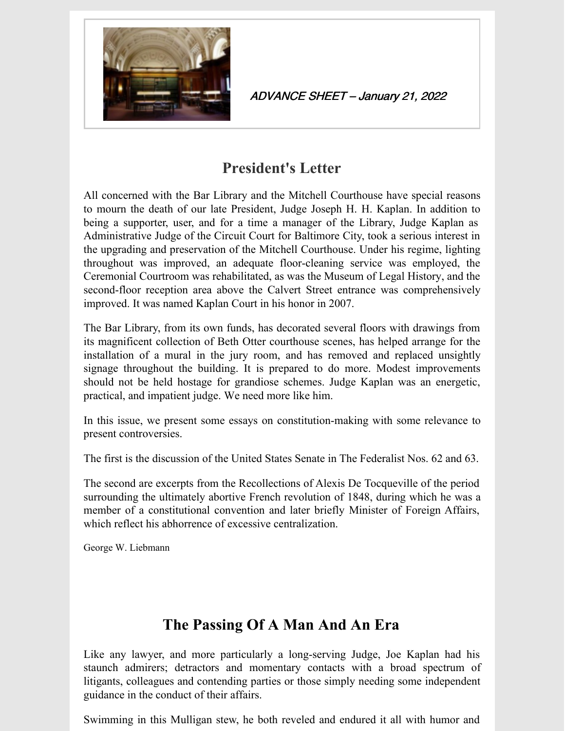

ADVANCE SHEET – January 21, 2022

## **President's Letter**

All concerned with the Bar Library and the Mitchell Courthouse have special reasons to mourn the death of our late President, Judge Joseph H. H. Kaplan. In addition to being a supporter, user, and for a time a manager of the Library, Judge Kaplan as Administrative Judge of the Circuit Court for Baltimore City, took a serious interest in the upgrading and preservation of the Mitchell Courthouse. Under his regime, lighting throughout was improved, an adequate floor-cleaning service was employed, the Ceremonial Courtroom was rehabilitated, as was the Museum of Legal History, and the second-floor reception area above the Calvert Street entrance was comprehensively improved. It was named Kaplan Court in his honor in 2007.

The Bar Library, from its own funds, has decorated several floors with drawings from its magnificent collection of Beth Otter courthouse scenes, has helped arrange for the installation of a mural in the jury room, and has removed and replaced unsightly signage throughout the building. It is prepared to do more. Modest improvements should not be held hostage for grandiose schemes. Judge Kaplan was an energetic, practical, and impatient judge. We need more like him.

In this issue, we present some essays on constitution-making with some relevance to present controversies.

The first is the discussion of the United States Senate in The Federalist Nos. 62 and 63.

The second are excerpts from the Recollections of Alexis De Tocqueville of the period surrounding the ultimately abortive French revolution of 1848, during which he was a member of a constitutional convention and later briefly Minister of Foreign Affairs, which reflect his abhorrence of excessive centralization.

George W. Liebmann

# **The Passing Of A Man And An Era**

Like any lawyer, and more particularly a long-serving Judge, Joe Kaplan had his staunch admirers; detractors and momentary contacts with a broad spectrum of litigants, colleagues and contending parties or those simply needing some independent guidance in the conduct of their affairs.

Swimming in this Mulligan stew, he both reveled and endured it all with humor and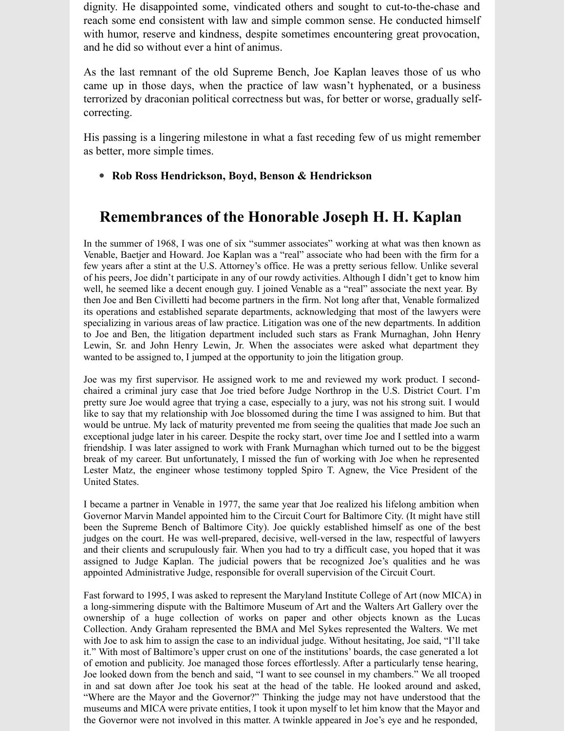dignity. He disappointed some, vindicated others and sought to cut-to-the-chase and reach some end consistent with law and simple common sense. He conducted himself with humor, reserve and kindness, despite sometimes encountering great provocation, and he did so without ever a hint of animus.

As the last remnant of the old Supreme Bench, Joe Kaplan leaves those of us who came up in those days, when the practice of law wasn't hyphenated, or a business terrorized by draconian political correctness but was, for better or worse, gradually selfcorrecting.

His passing is a lingering milestone in what a fast receding few of us might remember as better, more simple times.

#### **Rob Ross Hendrickson, Boyd, Benson & Hendrickson**

### **Remembrances of the Honorable Joseph H. H. Kaplan**

In the summer of 1968, I was one of six "summer associates" working at what was then known as Venable, Baetjer and Howard. Joe Kaplan was a "real" associate who had been with the firm for a few years after a stint at the U.S. Attorney's office. He was a pretty serious fellow. Unlike several of his peers, Joe didn't participate in any of our rowdy activities. Although I didn't get to know him well, he seemed like a decent enough guy. I joined Venable as a "real" associate the next year. By then Joe and Ben Civilletti had become partners in the firm. Not long after that, Venable formalized its operations and established separate departments, acknowledging that most of the lawyers were specializing in various areas of law practice. Litigation was one of the new departments. In addition to Joe and Ben, the litigation department included such stars as Frank Murnaghan, John Henry Lewin, Sr. and John Henry Lewin, Jr. When the associates were asked what department they wanted to be assigned to, I jumped at the opportunity to join the litigation group.

Joe was my first supervisor. He assigned work to me and reviewed my work product. I secondchaired a criminal jury case that Joe tried before Judge Northrop in the U.S. District Court. I'm pretty sure Joe would agree that trying a case, especially to a jury, was not his strong suit. I would like to say that my relationship with Joe blossomed during the time I was assigned to him. But that would be untrue. My lack of maturity prevented me from seeing the qualities that made Joe such an exceptional judge later in his career. Despite the rocky start, over time Joe and I settled into a warm friendship. I was later assigned to work with Frank Murnaghan which turned out to be the biggest break of my career. But unfortunately, I missed the fun of working with Joe when he represented Lester Matz, the engineer whose testimony toppled Spiro T. Agnew, the Vice President of the United States.

I became a partner in Venable in 1977, the same year that Joe realized his lifelong ambition when Governor Marvin Mandel appointed him to the Circuit Court for Baltimore City. (It might have still been the Supreme Bench of Baltimore City). Joe quickly established himself as one of the best judges on the court. He was well-prepared, decisive, well-versed in the law, respectful of lawyers and their clients and scrupulously fair. When you had to try a difficult case, you hoped that it was assigned to Judge Kaplan. The judicial powers that be recognized Joe's qualities and he was appointed Administrative Judge, responsible for overall supervision of the Circuit Court.

Fast forward to 1995, I was asked to represent the Maryland Institute College of Art (now MICA) in a long-simmering dispute with the Baltimore Museum of Art and the Walters Art Gallery over the ownership of a huge collection of works on paper and other objects known as the Lucas Collection. Andy Graham represented the BMA and Mel Sykes represented the Walters. We met with Joe to ask him to assign the case to an individual judge. Without hesitating, Joe said, "I'll take it." With most of Baltimore's upper crust on one of the institutions' boards, the case generated a lot of emotion and publicity. Joe managed those forces effortlessly. After a particularly tense hearing, Joe looked down from the bench and said, "I want to see counsel in my chambers." We all trooped in and sat down after Joe took his seat at the head of the table. He looked around and asked, "Where are the Mayor and the Governor?" Thinking the judge may not have understood that the museums and MICA were private entities, I took it upon myself to let him know that the Mayor and the Governor were not involved in this matter. A twinkle appeared in Joe's eye and he responded,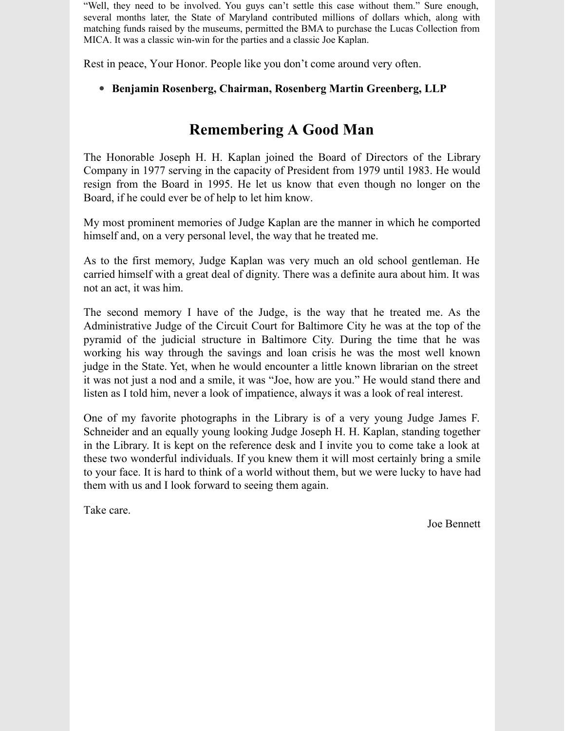"Well, they need to be involved. You guys can't settle this case without them." Sure enough, several months later, the State of Maryland contributed millions of dollars which, along with matching funds raised by the museums, permitted the BMA to purchase the Lucas Collection from MICA. It was a classic win-win for the parties and a classic Joe Kaplan.

Rest in peace, Your Honor. People like you don't come around very often.

#### **Benjamin Rosenberg, Chairman, Rosenberg Martin Greenberg, LLP**

### **Remembering A Good Man**

The Honorable Joseph H. H. Kaplan joined the Board of Directors of the Library Company in 1977 serving in the capacity of President from 1979 until 1983. He would resign from the Board in 1995. He let us know that even though no longer on the Board, if he could ever be of help to let him know.

My most prominent memories of Judge Kaplan are the manner in which he comported himself and, on a very personal level, the way that he treated me.

As to the first memory, Judge Kaplan was very much an old school gentleman. He carried himself with a great deal of dignity. There was a definite aura about him. It was not an act, it was him.

The second memory I have of the Judge, is the way that he treated me. As the Administrative Judge of the Circuit Court for Baltimore City he was at the top of the pyramid of the judicial structure in Baltimore City. During the time that he was working his way through the savings and loan crisis he was the most well known judge in the State. Yet, when he would encounter a little known librarian on the street it was not just a nod and a smile, it was "Joe, how are you." He would stand there and listen as I told him, never a look of impatience, always it was a look of real interest.

One of my favorite photographs in the Library is of a very young Judge James F. Schneider and an equally young looking Judge Joseph H. H. Kaplan, standing together in the Library. It is kept on the reference desk and I invite you to come take a look at these two wonderful individuals. If you knew them it will most certainly bring a smile to your face. It is hard to think of a world without them, but we were lucky to have had them with us and I look forward to seeing them again.

Take care.

Joe Bennett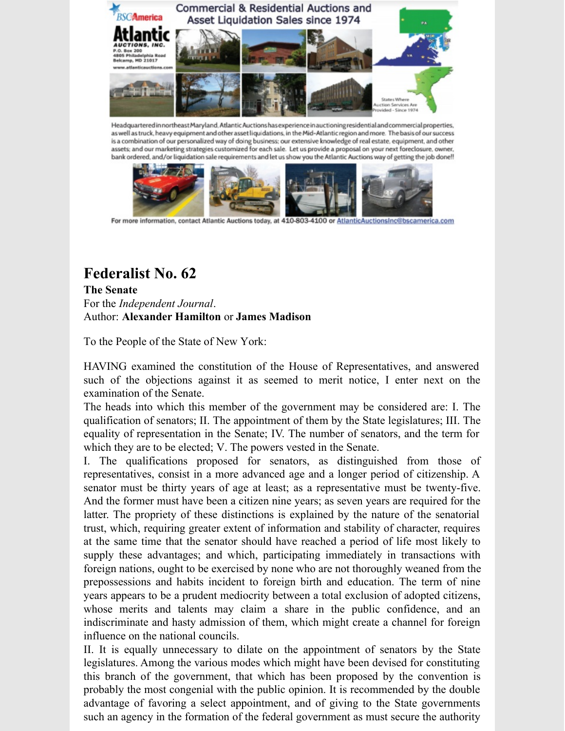

as well as truck, heavy equipment and other asset liquidations, in the Mid-Atlantic region and more. The basis of our success is a combination of our personalized way of doing business; our extensive knowledge of real estate, equipment, and other assets; and our marketing strategies customized for each sale. Let us provide a proposal on your next foreclosure, owner, bank ordered, and/or liquidation sale requirements and let us show you the Atlantic Auctions way of getting the job done!!



For more information, contact Atlantic Auctions today, at 410-803-4100 or AtlanticAuctionsInc@bscamerica.com

## **Federalist No. 62**

**The Senate** For the *Independent Journal*. Author: **Alexander Hamilton** or **James Madison**

To the People of the State of New York:

HAVING examined the constitution of the House of Representatives, and answered such of the objections against it as seemed to merit notice, I enter next on the examination of the Senate.

The heads into which this member of the government may be considered are: I. The qualification of senators; II. The appointment of them by the State legislatures; III. The equality of representation in the Senate; IV. The number of senators, and the term for which they are to be elected; V. The powers vested in the Senate.

I. The qualifications proposed for senators, as distinguished from those of representatives, consist in a more advanced age and a longer period of citizenship. A senator must be thirty years of age at least; as a representative must be twenty-five. And the former must have been a citizen nine years; as seven years are required for the latter. The propriety of these distinctions is explained by the nature of the senatorial trust, which, requiring greater extent of information and stability of character, requires at the same time that the senator should have reached a period of life most likely to supply these advantages; and which, participating immediately in transactions with foreign nations, ought to be exercised by none who are not thoroughly weaned from the prepossessions and habits incident to foreign birth and education. The term of nine years appears to be a prudent mediocrity between a total exclusion of adopted citizens, whose merits and talents may claim a share in the public confidence, and an indiscriminate and hasty admission of them, which might create a channel for foreign influence on the national councils.

II. It is equally unnecessary to dilate on the appointment of senators by the State legislatures. Among the various modes which might have been devised for constituting this branch of the government, that which has been proposed by the convention is probably the most congenial with the public opinion. It is recommended by the double advantage of favoring a select appointment, and of giving to the State governments such an agency in the formation of the federal government as must secure the authority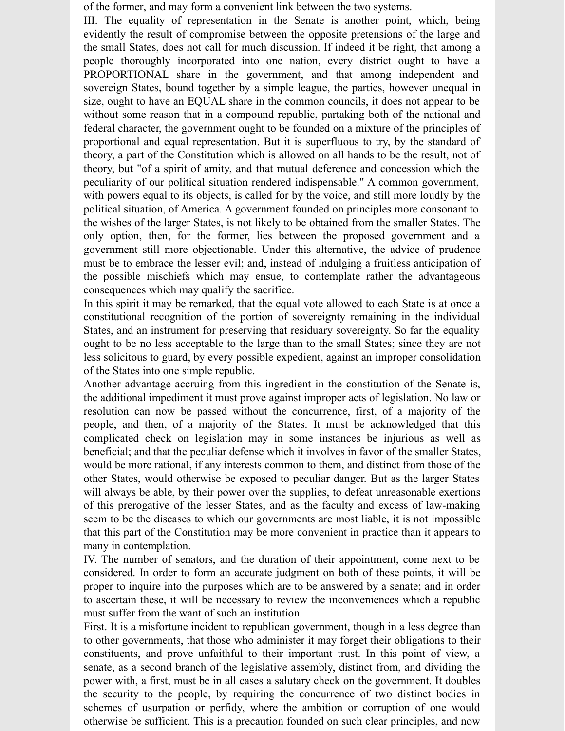of the former, and may form a convenient link between the two systems.

III. The equality of representation in the Senate is another point, which, being evidently the result of compromise between the opposite pretensions of the large and the small States, does not call for much discussion. If indeed it be right, that among a people thoroughly incorporated into one nation, every district ought to have a PROPORTIONAL share in the government, and that among independent and sovereign States, bound together by a simple league, the parties, however unequal in size, ought to have an EQUAL share in the common councils, it does not appear to be without some reason that in a compound republic, partaking both of the national and federal character, the government ought to be founded on a mixture of the principles of proportional and equal representation. But it is superfluous to try, by the standard of theory, a part of the Constitution which is allowed on all hands to be the result, not of theory, but "of a spirit of amity, and that mutual deference and concession which the peculiarity of our political situation rendered indispensable." A common government, with powers equal to its objects, is called for by the voice, and still more loudly by the political situation, of America. A government founded on principles more consonant to the wishes of the larger States, is not likely to be obtained from the smaller States. The only option, then, for the former, lies between the proposed government and a government still more objectionable. Under this alternative, the advice of prudence must be to embrace the lesser evil; and, instead of indulging a fruitless anticipation of the possible mischiefs which may ensue, to contemplate rather the advantageous consequences which may qualify the sacrifice.

In this spirit it may be remarked, that the equal vote allowed to each State is at once a constitutional recognition of the portion of sovereignty remaining in the individual States, and an instrument for preserving that residuary sovereignty. So far the equality ought to be no less acceptable to the large than to the small States; since they are not less solicitous to guard, by every possible expedient, against an improper consolidation of the States into one simple republic.

Another advantage accruing from this ingredient in the constitution of the Senate is, the additional impediment it must prove against improper acts of legislation. No law or resolution can now be passed without the concurrence, first, of a majority of the people, and then, of a majority of the States. It must be acknowledged that this complicated check on legislation may in some instances be injurious as well as beneficial; and that the peculiar defense which it involves in favor of the smaller States, would be more rational, if any interests common to them, and distinct from those of the other States, would otherwise be exposed to peculiar danger. But as the larger States will always be able, by their power over the supplies, to defeat unreasonable exertions of this prerogative of the lesser States, and as the faculty and excess of law-making seem to be the diseases to which our governments are most liable, it is not impossible that this part of the Constitution may be more convenient in practice than it appears to many in contemplation.

IV. The number of senators, and the duration of their appointment, come next to be considered. In order to form an accurate judgment on both of these points, it will be proper to inquire into the purposes which are to be answered by a senate; and in order to ascertain these, it will be necessary to review the inconveniences which a republic must suffer from the want of such an institution.

First. It is a misfortune incident to republican government, though in a less degree than to other governments, that those who administer it may forget their obligations to their constituents, and prove unfaithful to their important trust. In this point of view, a senate, as a second branch of the legislative assembly, distinct from, and dividing the power with, a first, must be in all cases a salutary check on the government. It doubles the security to the people, by requiring the concurrence of two distinct bodies in schemes of usurpation or perfidy, where the ambition or corruption of one would otherwise be sufficient. This is a precaution founded on such clear principles, and now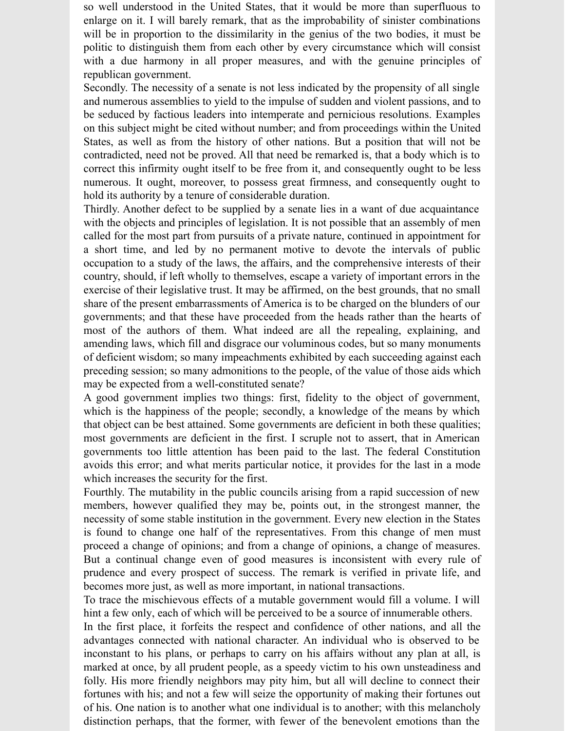so well understood in the United States, that it would be more than superfluous to enlarge on it. I will barely remark, that as the improbability of sinister combinations will be in proportion to the dissimilarity in the genius of the two bodies, it must be politic to distinguish them from each other by every circumstance which will consist with a due harmony in all proper measures, and with the genuine principles of republican government.

Secondly. The necessity of a senate is not less indicated by the propensity of all single and numerous assemblies to yield to the impulse of sudden and violent passions, and to be seduced by factious leaders into intemperate and pernicious resolutions. Examples on this subject might be cited without number; and from proceedings within the United States, as well as from the history of other nations. But a position that will not be contradicted, need not be proved. All that need be remarked is, that a body which is to correct this infirmity ought itself to be free from it, and consequently ought to be less numerous. It ought, moreover, to possess great firmness, and consequently ought to hold its authority by a tenure of considerable duration.

Thirdly. Another defect to be supplied by a senate lies in a want of due acquaintance with the objects and principles of legislation. It is not possible that an assembly of men called for the most part from pursuits of a private nature, continued in appointment for a short time, and led by no permanent motive to devote the intervals of public occupation to a study of the laws, the affairs, and the comprehensive interests of their country, should, if left wholly to themselves, escape a variety of important errors in the exercise of their legislative trust. It may be affirmed, on the best grounds, that no small share of the present embarrassments of America is to be charged on the blunders of our governments; and that these have proceeded from the heads rather than the hearts of most of the authors of them. What indeed are all the repealing, explaining, and amending laws, which fill and disgrace our voluminous codes, but so many monuments of deficient wisdom; so many impeachments exhibited by each succeeding against each preceding session; so many admonitions to the people, of the value of those aids which may be expected from a well-constituted senate?

A good government implies two things: first, fidelity to the object of government, which is the happiness of the people; secondly, a knowledge of the means by which that object can be best attained. Some governments are deficient in both these qualities; most governments are deficient in the first. I scruple not to assert, that in American governments too little attention has been paid to the last. The federal Constitution avoids this error; and what merits particular notice, it provides for the last in a mode which increases the security for the first.

Fourthly. The mutability in the public councils arising from a rapid succession of new members, however qualified they may be, points out, in the strongest manner, the necessity of some stable institution in the government. Every new election in the States is found to change one half of the representatives. From this change of men must proceed a change of opinions; and from a change of opinions, a change of measures. But a continual change even of good measures is inconsistent with every rule of prudence and every prospect of success. The remark is verified in private life, and becomes more just, as well as more important, in national transactions.

To trace the mischievous effects of a mutable government would fill a volume. I will hint a few only, each of which will be perceived to be a source of innumerable others.

In the first place, it forfeits the respect and confidence of other nations, and all the advantages connected with national character. An individual who is observed to be inconstant to his plans, or perhaps to carry on his affairs without any plan at all, is marked at once, by all prudent people, as a speedy victim to his own unsteadiness and folly. His more friendly neighbors may pity him, but all will decline to connect their fortunes with his; and not a few will seize the opportunity of making their fortunes out of his. One nation is to another what one individual is to another; with this melancholy distinction perhaps, that the former, with fewer of the benevolent emotions than the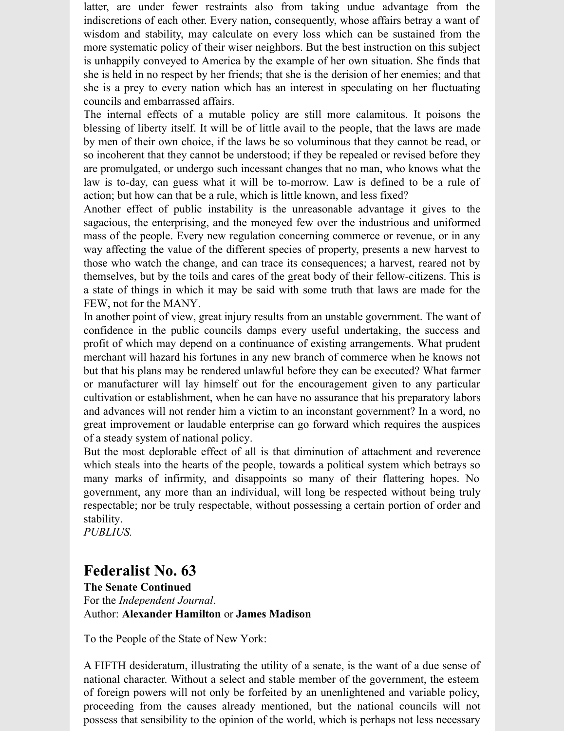latter, are under fewer restraints also from taking undue advantage from the indiscretions of each other. Every nation, consequently, whose affairs betray a want of wisdom and stability, may calculate on every loss which can be sustained from the more systematic policy of their wiser neighbors. But the best instruction on this subject is unhappily conveyed to America by the example of her own situation. She finds that she is held in no respect by her friends; that she is the derision of her enemies; and that she is a prey to every nation which has an interest in speculating on her fluctuating councils and embarrassed affairs.

The internal effects of a mutable policy are still more calamitous. It poisons the blessing of liberty itself. It will be of little avail to the people, that the laws are made by men of their own choice, if the laws be so voluminous that they cannot be read, or so incoherent that they cannot be understood; if they be repealed or revised before they are promulgated, or undergo such incessant changes that no man, who knows what the law is to-day, can guess what it will be to-morrow. Law is defined to be a rule of action; but how can that be a rule, which is little known, and less fixed?

Another effect of public instability is the unreasonable advantage it gives to the sagacious, the enterprising, and the moneyed few over the industrious and uniformed mass of the people. Every new regulation concerning commerce or revenue, or in any way affecting the value of the different species of property, presents a new harvest to those who watch the change, and can trace its consequences; a harvest, reared not by themselves, but by the toils and cares of the great body of their fellow-citizens. This is a state of things in which it may be said with some truth that laws are made for the FEW, not for the MANY.

In another point of view, great injury results from an unstable government. The want of confidence in the public councils damps every useful undertaking, the success and profit of which may depend on a continuance of existing arrangements. What prudent merchant will hazard his fortunes in any new branch of commerce when he knows not but that his plans may be rendered unlawful before they can be executed? What farmer or manufacturer will lay himself out for the encouragement given to any particular cultivation or establishment, when he can have no assurance that his preparatory labors and advances will not render him a victim to an inconstant government? In a word, no great improvement or laudable enterprise can go forward which requires the auspices of a steady system of national policy.

But the most deplorable effect of all is that diminution of attachment and reverence which steals into the hearts of the people, towards a political system which betrays so many marks of infirmity, and disappoints so many of their flattering hopes. No government, any more than an individual, will long be respected without being truly respectable; nor be truly respectable, without possessing a certain portion of order and stability.

*PUBLIUS.*

### **Federalist No. 63**

**The Senate Continued** For the *Independent Journal*. Author: **Alexander Hamilton** or **James Madison**

To the People of the State of New York:

A FIFTH desideratum, illustrating the utility of a senate, is the want of a due sense of national character. Without a select and stable member of the government, the esteem of foreign powers will not only be forfeited by an unenlightened and variable policy, proceeding from the causes already mentioned, but the national councils will not possess that sensibility to the opinion of the world, which is perhaps not less necessary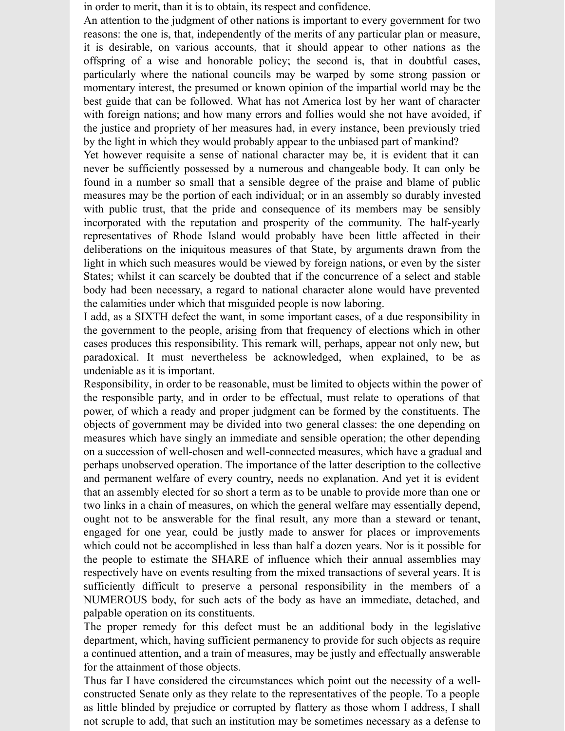in order to merit, than it is to obtain, its respect and confidence.

An attention to the judgment of other nations is important to every government for two reasons: the one is, that, independently of the merits of any particular plan or measure, it is desirable, on various accounts, that it should appear to other nations as the offspring of a wise and honorable policy; the second is, that in doubtful cases, particularly where the national councils may be warped by some strong passion or momentary interest, the presumed or known opinion of the impartial world may be the best guide that can be followed. What has not America lost by her want of character with foreign nations; and how many errors and follies would she not have avoided, if the justice and propriety of her measures had, in every instance, been previously tried by the light in which they would probably appear to the unbiased part of mankind?

Yet however requisite a sense of national character may be, it is evident that it can never be sufficiently possessed by a numerous and changeable body. It can only be found in a number so small that a sensible degree of the praise and blame of public measures may be the portion of each individual; or in an assembly so durably invested with public trust, that the pride and consequence of its members may be sensibly incorporated with the reputation and prosperity of the community. The half-yearly representatives of Rhode Island would probably have been little affected in their deliberations on the iniquitous measures of that State, by arguments drawn from the light in which such measures would be viewed by foreign nations, or even by the sister States; whilst it can scarcely be doubted that if the concurrence of a select and stable body had been necessary, a regard to national character alone would have prevented the calamities under which that misguided people is now laboring.

I add, as a SIXTH defect the want, in some important cases, of a due responsibility in the government to the people, arising from that frequency of elections which in other cases produces this responsibility. This remark will, perhaps, appear not only new, but paradoxical. It must nevertheless be acknowledged, when explained, to be as undeniable as it is important.

Responsibility, in order to be reasonable, must be limited to objects within the power of the responsible party, and in order to be effectual, must relate to operations of that power, of which a ready and proper judgment can be formed by the constituents. The objects of government may be divided into two general classes: the one depending on measures which have singly an immediate and sensible operation; the other depending on a succession of well-chosen and well-connected measures, which have a gradual and perhaps unobserved operation. The importance of the latter description to the collective and permanent welfare of every country, needs no explanation. And yet it is evident that an assembly elected for so short a term as to be unable to provide more than one or two links in a chain of measures, on which the general welfare may essentially depend, ought not to be answerable for the final result, any more than a steward or tenant, engaged for one year, could be justly made to answer for places or improvements which could not be accomplished in less than half a dozen years. Nor is it possible for the people to estimate the SHARE of influence which their annual assemblies may respectively have on events resulting from the mixed transactions of several years. It is sufficiently difficult to preserve a personal responsibility in the members of a NUMEROUS body, for such acts of the body as have an immediate, detached, and palpable operation on its constituents.

The proper remedy for this defect must be an additional body in the legislative department, which, having sufficient permanency to provide for such objects as require a continued attention, and a train of measures, may be justly and effectually answerable for the attainment of those objects.

Thus far I have considered the circumstances which point out the necessity of a wellconstructed Senate only as they relate to the representatives of the people. To a people as little blinded by prejudice or corrupted by flattery as those whom I address, I shall not scruple to add, that such an institution may be sometimes necessary as a defense to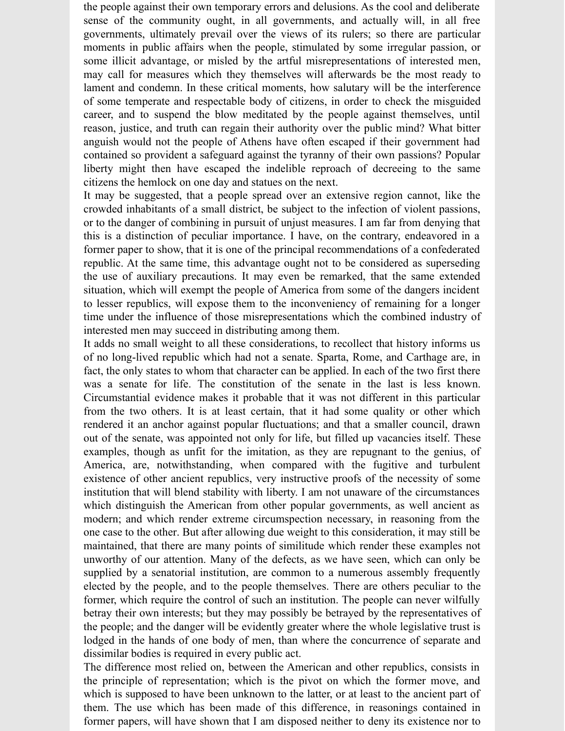the people against their own temporary errors and delusions. As the cool and deliberate sense of the community ought, in all governments, and actually will, in all free governments, ultimately prevail over the views of its rulers; so there are particular moments in public affairs when the people, stimulated by some irregular passion, or some illicit advantage, or misled by the artful misrepresentations of interested men, may call for measures which they themselves will afterwards be the most ready to lament and condemn. In these critical moments, how salutary will be the interference of some temperate and respectable body of citizens, in order to check the misguided career, and to suspend the blow meditated by the people against themselves, until reason, justice, and truth can regain their authority over the public mind? What bitter anguish would not the people of Athens have often escaped if their government had contained so provident a safeguard against the tyranny of their own passions? Popular liberty might then have escaped the indelible reproach of decreeing to the same citizens the hemlock on one day and statues on the next.

It may be suggested, that a people spread over an extensive region cannot, like the crowded inhabitants of a small district, be subject to the infection of violent passions, or to the danger of combining in pursuit of unjust measures. I am far from denying that this is a distinction of peculiar importance. I have, on the contrary, endeavored in a former paper to show, that it is one of the principal recommendations of a confederated republic. At the same time, this advantage ought not to be considered as superseding the use of auxiliary precautions. It may even be remarked, that the same extended situation, which will exempt the people of America from some of the dangers incident to lesser republics, will expose them to the inconveniency of remaining for a longer time under the influence of those misrepresentations which the combined industry of interested men may succeed in distributing among them.

It adds no small weight to all these considerations, to recollect that history informs us of no long-lived republic which had not a senate. Sparta, Rome, and Carthage are, in fact, the only states to whom that character can be applied. In each of the two first there was a senate for life. The constitution of the senate in the last is less known. Circumstantial evidence makes it probable that it was not different in this particular from the two others. It is at least certain, that it had some quality or other which rendered it an anchor against popular fluctuations; and that a smaller council, drawn out of the senate, was appointed not only for life, but filled up vacancies itself. These examples, though as unfit for the imitation, as they are repugnant to the genius, of America, are, notwithstanding, when compared with the fugitive and turbulent existence of other ancient republics, very instructive proofs of the necessity of some institution that will blend stability with liberty. I am not unaware of the circumstances which distinguish the American from other popular governments, as well ancient as modern; and which render extreme circumspection necessary, in reasoning from the one case to the other. But after allowing due weight to this consideration, it may still be maintained, that there are many points of similitude which render these examples not unworthy of our attention. Many of the defects, as we have seen, which can only be supplied by a senatorial institution, are common to a numerous assembly frequently elected by the people, and to the people themselves. There are others peculiar to the former, which require the control of such an institution. The people can never wilfully betray their own interests; but they may possibly be betrayed by the representatives of the people; and the danger will be evidently greater where the whole legislative trust is lodged in the hands of one body of men, than where the concurrence of separate and dissimilar bodies is required in every public act.

The difference most relied on, between the American and other republics, consists in the principle of representation; which is the pivot on which the former move, and which is supposed to have been unknown to the latter, or at least to the ancient part of them. The use which has been made of this difference, in reasonings contained in former papers, will have shown that I am disposed neither to deny its existence nor to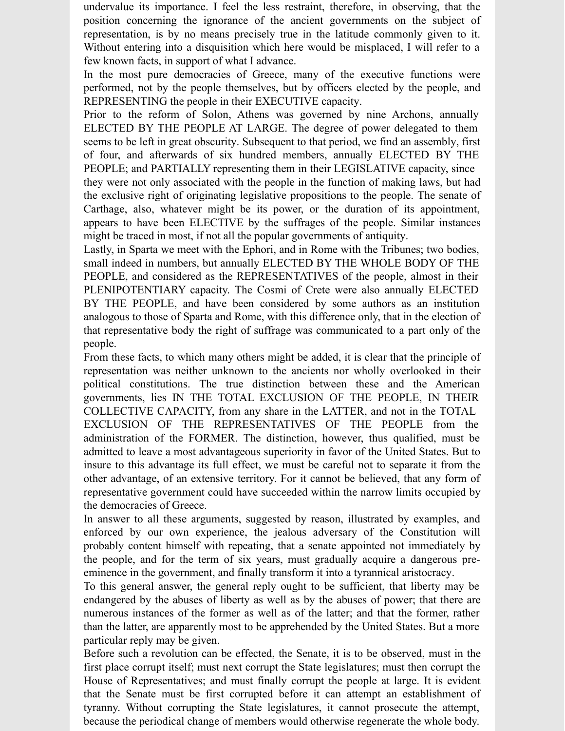undervalue its importance. I feel the less restraint, therefore, in observing, that the position concerning the ignorance of the ancient governments on the subject of representation, is by no means precisely true in the latitude commonly given to it. Without entering into a disquisition which here would be misplaced, I will refer to a few known facts, in support of what I advance.

In the most pure democracies of Greece, many of the executive functions were performed, not by the people themselves, but by officers elected by the people, and REPRESENTING the people in their EXECUTIVE capacity.

Prior to the reform of Solon, Athens was governed by nine Archons, annually ELECTED BY THE PEOPLE AT LARGE. The degree of power delegated to them seems to be left in great obscurity. Subsequent to that period, we find an assembly, first of four, and afterwards of six hundred members, annually ELECTED BY THE PEOPLE; and PARTIALLY representing them in their LEGISLATIVE capacity, since they were not only associated with the people in the function of making laws, but had the exclusive right of originating legislative propositions to the people. The senate of Carthage, also, whatever might be its power, or the duration of its appointment, appears to have been ELECTIVE by the suffrages of the people. Similar instances might be traced in most, if not all the popular governments of antiquity.

Lastly, in Sparta we meet with the Ephori, and in Rome with the Tribunes; two bodies, small indeed in numbers, but annually ELECTED BY THE WHOLE BODY OF THE PEOPLE, and considered as the REPRESENTATIVES of the people, almost in their PLENIPOTENTIARY capacity. The Cosmi of Crete were also annually ELECTED BY THE PEOPLE, and have been considered by some authors as an institution analogous to those of Sparta and Rome, with this difference only, that in the election of that representative body the right of suffrage was communicated to a part only of the people.

From these facts, to which many others might be added, it is clear that the principle of representation was neither unknown to the ancients nor wholly overlooked in their political constitutions. The true distinction between these and the American governments, lies IN THE TOTAL EXCLUSION OF THE PEOPLE, IN THEIR COLLECTIVE CAPACITY, from any share in the LATTER, and not in the TOTAL EXCLUSION OF THE REPRESENTATIVES OF THE PEOPLE from the administration of the FORMER. The distinction, however, thus qualified, must be admitted to leave a most advantageous superiority in favor of the United States. But to insure to this advantage its full effect, we must be careful not to separate it from the other advantage, of an extensive territory. For it cannot be believed, that any form of representative government could have succeeded within the narrow limits occupied by the democracies of Greece.

In answer to all these arguments, suggested by reason, illustrated by examples, and enforced by our own experience, the jealous adversary of the Constitution will probably content himself with repeating, that a senate appointed not immediately by the people, and for the term of six years, must gradually acquire a dangerous preeminence in the government, and finally transform it into a tyrannical aristocracy.

To this general answer, the general reply ought to be sufficient, that liberty may be endangered by the abuses of liberty as well as by the abuses of power; that there are numerous instances of the former as well as of the latter; and that the former, rather than the latter, are apparently most to be apprehended by the United States. But a more particular reply may be given.

Before such a revolution can be effected, the Senate, it is to be observed, must in the first place corrupt itself; must next corrupt the State legislatures; must then corrupt the House of Representatives; and must finally corrupt the people at large. It is evident that the Senate must be first corrupted before it can attempt an establishment of tyranny. Without corrupting the State legislatures, it cannot prosecute the attempt, because the periodical change of members would otherwise regenerate the whole body.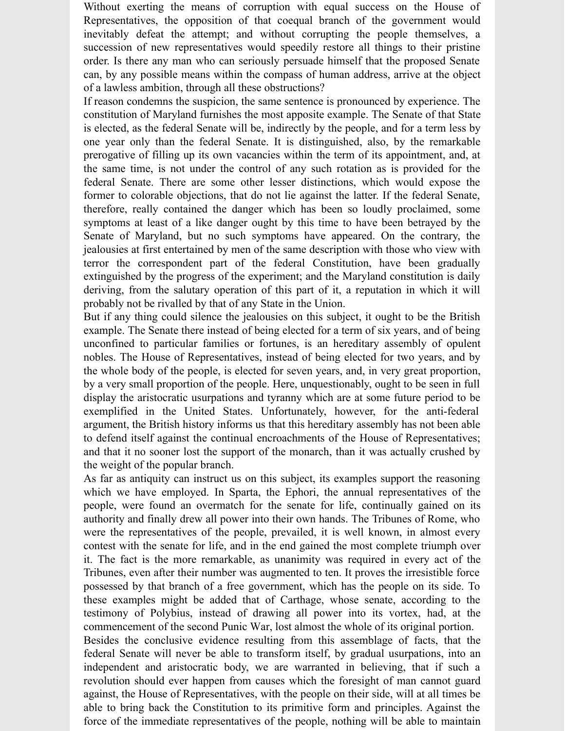Without exerting the means of corruption with equal success on the House of Representatives, the opposition of that coequal branch of the government would inevitably defeat the attempt; and without corrupting the people themselves, a succession of new representatives would speedily restore all things to their pristine order. Is there any man who can seriously persuade himself that the proposed Senate can, by any possible means within the compass of human address, arrive at the object of a lawless ambition, through all these obstructions?

If reason condemns the suspicion, the same sentence is pronounced by experience. The constitution of Maryland furnishes the most apposite example. The Senate of that State is elected, as the federal Senate will be, indirectly by the people, and for a term less by one year only than the federal Senate. It is distinguished, also, by the remarkable prerogative of filling up its own vacancies within the term of its appointment, and, at the same time, is not under the control of any such rotation as is provided for the federal Senate. There are some other lesser distinctions, which would expose the former to colorable objections, that do not lie against the latter. If the federal Senate, therefore, really contained the danger which has been so loudly proclaimed, some symptoms at least of a like danger ought by this time to have been betrayed by the Senate of Maryland, but no such symptoms have appeared. On the contrary, the jealousies at first entertained by men of the same description with those who view with terror the correspondent part of the federal Constitution, have been gradually extinguished by the progress of the experiment; and the Maryland constitution is daily deriving, from the salutary operation of this part of it, a reputation in which it will probably not be rivalled by that of any State in the Union.

But if any thing could silence the jealousies on this subject, it ought to be the British example. The Senate there instead of being elected for a term of six years, and of being unconfined to particular families or fortunes, is an hereditary assembly of opulent nobles. The House of Representatives, instead of being elected for two years, and by the whole body of the people, is elected for seven years, and, in very great proportion, by a very small proportion of the people. Here, unquestionably, ought to be seen in full display the aristocratic usurpations and tyranny which are at some future period to be exemplified in the United States. Unfortunately, however, for the anti-federal argument, the British history informs us that this hereditary assembly has not been able to defend itself against the continual encroachments of the House of Representatives; and that it no sooner lost the support of the monarch, than it was actually crushed by the weight of the popular branch.

As far as antiquity can instruct us on this subject, its examples support the reasoning which we have employed. In Sparta, the Ephori, the annual representatives of the people, were found an overmatch for the senate for life, continually gained on its authority and finally drew all power into their own hands. The Tribunes of Rome, who were the representatives of the people, prevailed, it is well known, in almost every contest with the senate for life, and in the end gained the most complete triumph over it. The fact is the more remarkable, as unanimity was required in every act of the Tribunes, even after their number was augmented to ten. It proves the irresistible force possessed by that branch of a free government, which has the people on its side. To these examples might be added that of Carthage, whose senate, according to the testimony of Polybius, instead of drawing all power into its vortex, had, at the commencement of the second Punic War, lost almost the whole of its original portion.

Besides the conclusive evidence resulting from this assemblage of facts, that the federal Senate will never be able to transform itself, by gradual usurpations, into an independent and aristocratic body, we are warranted in believing, that if such a revolution should ever happen from causes which the foresight of man cannot guard against, the House of Representatives, with the people on their side, will at all times be able to bring back the Constitution to its primitive form and principles. Against the force of the immediate representatives of the people, nothing will be able to maintain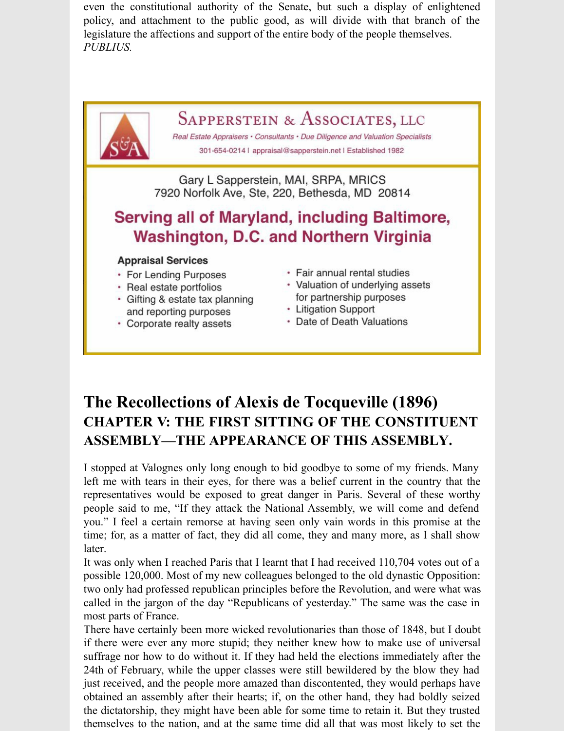even the constitutional authority of the Senate, but such a display of enlightened policy, and attachment to the public good, as will divide with that branch of the legislature the affections and support of the entire body of the people themselves. *PUBLIUS.*



## **The Recollections of Alexis de Tocqueville (1896) CHAPTER V: THE FIRST SITTING OF THE CONSTITUENT ASSEMBLY—THE APPEARANCE OF THIS ASSEMBLY.**

I stopped at Valognes only long enough to bid goodbye to some of my friends. Many left me with tears in their eyes, for there was a belief current in the country that the representatives would be exposed to great danger in Paris. Several of these worthy people said to me, "If they attack the National Assembly, we will come and defend you." I feel a certain remorse at having seen only vain words in this promise at the time; for, as a matter of fact, they did all come, they and many more, as I shall show later.

It was only when I reached Paris that I learnt that I had received 110,704 votes out of a possible 120,000. Most of my new colleagues belonged to the old dynastic Opposition: two only had professed republican principles before the Revolution, and were what was called in the jargon of the day "Republicans of yesterday." The same was the case in most parts of France.

There have certainly been more wicked revolutionaries than those of 1848, but I doubt if there were ever any more stupid; they neither knew how to make use of universal suffrage nor how to do without it. If they had held the elections immediately after the 24th of February, while the upper classes were still bewildered by the blow they had just received, and the people more amazed than discontented, they would perhaps have obtained an assembly after their hearts; if, on the other hand, they had boldly seized the dictatorship, they might have been able for some time to retain it. But they trusted themselves to the nation, and at the same time did all that was most likely to set the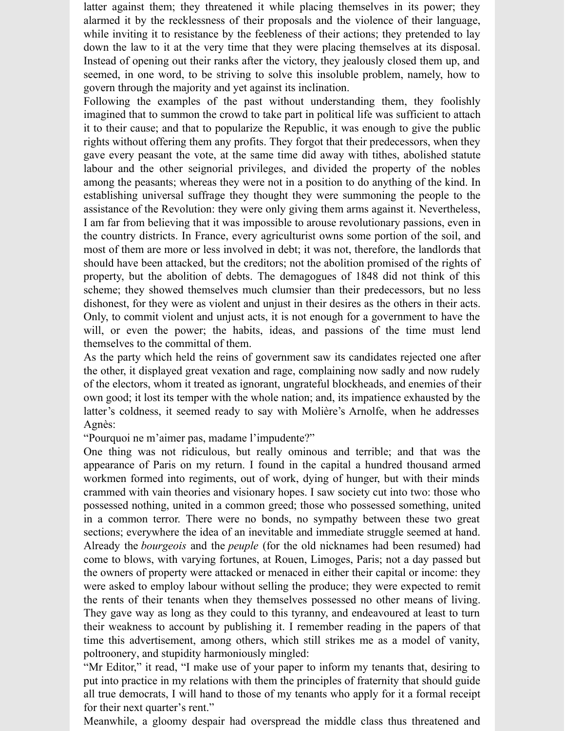latter against them; they threatened it while placing themselves in its power; they alarmed it by the recklessness of their proposals and the violence of their language, while inviting it to resistance by the feebleness of their actions; they pretended to lay down the law to it at the very time that they were placing themselves at its disposal. Instead of opening out their ranks after the victory, they jealously closed them up, and seemed, in one word, to be striving to solve this insoluble problem, namely, how to govern through the majority and yet against its inclination.

Following the examples of the past without understanding them, they foolishly imagined that to summon the crowd to take part in political life was sufficient to attach it to their cause; and that to popularize the Republic, it was enough to give the public rights without offering them any profits. They forgot that their predecessors, when they gave every peasant the vote, at the same time did away with tithes, abolished statute labour and the other seignorial privileges, and divided the property of the nobles among the peasants; whereas they were not in a position to do anything of the kind. In establishing universal suffrage they thought they were summoning the people to the assistance of the Revolution: they were only giving them arms against it. Nevertheless, I am far from believing that it was impossible to arouse revolutionary passions, even in the country districts. In France, every agriculturist owns some portion of the soil, and most of them are more or less involved in debt; it was not, therefore, the landlords that should have been attacked, but the creditors; not the abolition promised of the rights of property, but the abolition of debts. The demagogues of 1848 did not think of this scheme; they showed themselves much clumsier than their predecessors, but no less dishonest, for they were as violent and unjust in their desires as the others in their acts. Only, to commit violent and unjust acts, it is not enough for a government to have the will, or even the power; the habits, ideas, and passions of the time must lend themselves to the committal of them.

As the party which held the reins of government saw its candidates rejected one after the other, it displayed great vexation and rage, complaining now sadly and now rudely of the electors, whom it treated as ignorant, ungrateful blockheads, and enemies of their own good; it lost its temper with the whole nation; and, its impatience exhausted by the latter's coldness, it seemed ready to say with Molière's Arnolfe, when he addresses Agnès:

"Pourquoi ne m'aimer pas, madame l'impudente?"

One thing was not ridiculous, but really ominous and terrible; and that was the appearance of Paris on my return. I found in the capital a hundred thousand armed workmen formed into regiments, out of work, dying of hunger, but with their minds crammed with vain theories and visionary hopes. I saw society cut into two: those who possessed nothing, united in a common greed; those who possessed something, united in a common terror. There were no bonds, no sympathy between these two great sections; everywhere the idea of an inevitable and immediate struggle seemed at hand. Already the *bourgeois* and the *peuple* (for the old nicknames had been resumed) had come to blows, with varying fortunes, at Rouen, Limoges, Paris; not a day passed but the owners of property were attacked or menaced in either their capital or income: they were asked to employ labour without selling the produce; they were expected to remit the rents of their tenants when they themselves possessed no other means of living. They gave way as long as they could to this tyranny, and endeavoured at least to turn their weakness to account by publishing it. I remember reading in the papers of that time this advertisement, among others, which still strikes me as a model of vanity, poltroonery, and stupidity harmoniously mingled:

"Mr Editor," it read, "I make use of your paper to inform my tenants that, desiring to put into practice in my relations with them the principles of fraternity that should guide all true democrats, I will hand to those of my tenants who apply for it a formal receipt for their next quarter's rent."

Meanwhile, a gloomy despair had overspread the middle class thus threatened and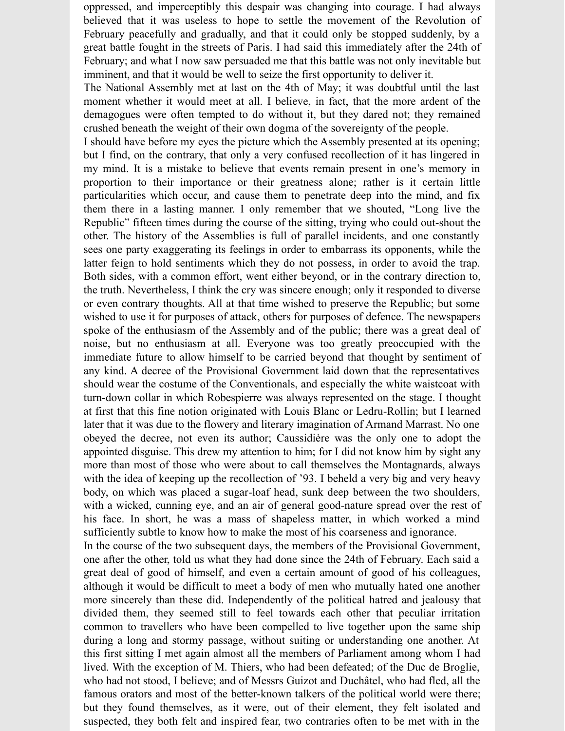oppressed, and imperceptibly this despair was changing into courage. I had always believed that it was useless to hope to settle the movement of the Revolution of February peacefully and gradually, and that it could only be stopped suddenly, by a great battle fought in the streets of Paris. I had said this immediately after the 24th of February; and what I now saw persuaded me that this battle was not only inevitable but imminent, and that it would be well to seize the first opportunity to deliver it.

The National Assembly met at last on the 4th of May; it was doubtful until the last moment whether it would meet at all. I believe, in fact, that the more ardent of the demagogues were often tempted to do without it, but they dared not; they remained crushed beneath the weight of their own dogma of the sovereignty of the people.

I should have before my eyes the picture which the Assembly presented at its opening; but I find, on the contrary, that only a very confused recollection of it has lingered in my mind. It is a mistake to believe that events remain present in one's memory in proportion to their importance or their greatness alone; rather is it certain little particularities which occur, and cause them to penetrate deep into the mind, and fix them there in a lasting manner. I only remember that we shouted, "Long live the Republic" fifteen times during the course of the sitting, trying who could out-shout the other. The history of the Assemblies is full of parallel incidents, and one constantly sees one party exaggerating its feelings in order to embarrass its opponents, while the latter feign to hold sentiments which they do not possess, in order to avoid the trap. Both sides, with a common effort, went either beyond, or in the contrary direction to, the truth. Nevertheless, I think the cry was sincere enough; only it responded to diverse or even contrary thoughts. All at that time wished to preserve the Republic; but some wished to use it for purposes of attack, others for purposes of defence. The newspapers spoke of the enthusiasm of the Assembly and of the public; there was a great deal of noise, but no enthusiasm at all. Everyone was too greatly preoccupied with the immediate future to allow himself to be carried beyond that thought by sentiment of any kind. A decree of the Provisional Government laid down that the representatives should wear the costume of the Conventionals, and especially the white waistcoat with turn-down collar in which Robespierre was always represented on the stage. I thought at first that this fine notion originated with Louis Blanc or Ledru-Rollin; but I learned later that it was due to the flowery and literary imagination of Armand Marrast. No one obeyed the decree, not even its author; Caussidière was the only one to adopt the appointed disguise. This drew my attention to him; for I did not know him by sight any more than most of those who were about to call themselves the Montagnards, always with the idea of keeping up the recollection of '93. I beheld a very big and very heavy body, on which was placed a sugar-loaf head, sunk deep between the two shoulders, with a wicked, cunning eye, and an air of general good-nature spread over the rest of his face. In short, he was a mass of shapeless matter, in which worked a mind sufficiently subtle to know how to make the most of his coarseness and ignorance.

In the course of the two subsequent days, the members of the Provisional Government, one after the other, told us what they had done since the 24th of February. Each said a great deal of good of himself, and even a certain amount of good of his colleagues, although it would be difficult to meet a body of men who mutually hated one another more sincerely than these did. Independently of the political hatred and jealousy that divided them, they seemed still to feel towards each other that peculiar irritation common to travellers who have been compelled to live together upon the same ship during a long and stormy passage, without suiting or understanding one another. At this first sitting I met again almost all the members of Parliament among whom I had lived. With the exception of M. Thiers, who had been defeated; of the Duc de Broglie, who had not stood, I believe; and of Messrs Guizot and Duchâtel, who had fled, all the famous orators and most of the better-known talkers of the political world were there; but they found themselves, as it were, out of their element, they felt isolated and suspected, they both felt and inspired fear, two contraries often to be met with in the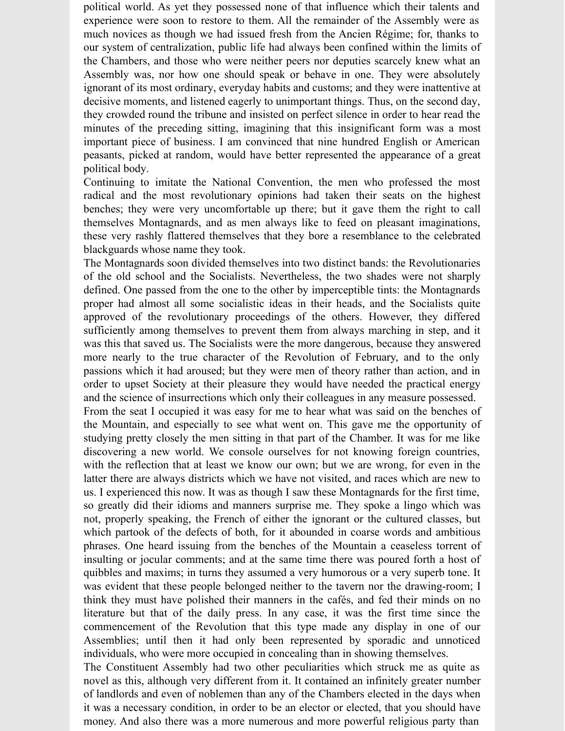political world. As yet they possessed none of that influence which their talents and experience were soon to restore to them. All the remainder of the Assembly were as much novices as though we had issued fresh from the Ancien Régime; for, thanks to our system of centralization, public life had always been confined within the limits of the Chambers, and those who were neither peers nor deputies scarcely knew what an Assembly was, nor how one should speak or behave in one. They were absolutely ignorant of its most ordinary, everyday habits and customs; and they were inattentive at decisive moments, and listened eagerly to unimportant things. Thus, on the second day, they crowded round the tribune and insisted on perfect silence in order to hear read the minutes of the preceding sitting, imagining that this insignificant form was a most important piece of business. I am convinced that nine hundred English or American peasants, picked at random, would have better represented the appearance of a great political body.

Continuing to imitate the National Convention, the men who professed the most radical and the most revolutionary opinions had taken their seats on the highest benches; they were very uncomfortable up there; but it gave them the right to call themselves Montagnards, and as men always like to feed on pleasant imaginations, these very rashly flattered themselves that they bore a resemblance to the celebrated blackguards whose name they took.

The Montagnards soon divided themselves into two distinct bands: the Revolutionaries of the old school and the Socialists. Nevertheless, the two shades were not sharply defined. One passed from the one to the other by imperceptible tints: the Montagnards proper had almost all some socialistic ideas in their heads, and the Socialists quite approved of the revolutionary proceedings of the others. However, they differed sufficiently among themselves to prevent them from always marching in step, and it was this that saved us. The Socialists were the more dangerous, because they answered more nearly to the true character of the Revolution of February, and to the only passions which it had aroused; but they were men of theory rather than action, and in order to upset Society at their pleasure they would have needed the practical energy and the science of insurrections which only their colleagues in any measure possessed.

From the seat I occupied it was easy for me to hear what was said on the benches of the Mountain, and especially to see what went on. This gave me the opportunity of studying pretty closely the men sitting in that part of the Chamber. It was for me like discovering a new world. We console ourselves for not knowing foreign countries, with the reflection that at least we know our own; but we are wrong, for even in the latter there are always districts which we have not visited, and races which are new to us. I experienced this now. It was as though I saw these Montagnards for the first time, so greatly did their idioms and manners surprise me. They spoke a lingo which was not, properly speaking, the French of either the ignorant or the cultured classes, but which partook of the defects of both, for it abounded in coarse words and ambitious phrases. One heard issuing from the benches of the Mountain a ceaseless torrent of insulting or jocular comments; and at the same time there was poured forth a host of quibbles and maxims; in turns they assumed a very humorous or a very superb tone. It was evident that these people belonged neither to the tavern nor the drawing-room; I think they must have polished their manners in the cafés, and fed their minds on no literature but that of the daily press. In any case, it was the first time since the commencement of the Revolution that this type made any display in one of our Assemblies; until then it had only been represented by sporadic and unnoticed individuals, who were more occupied in concealing than in showing themselves.

The Constituent Assembly had two other peculiarities which struck me as quite as novel as this, although very different from it. It contained an infinitely greater number of landlords and even of noblemen than any of the Chambers elected in the days when it was a necessary condition, in order to be an elector or elected, that you should have money. And also there was a more numerous and more powerful religious party than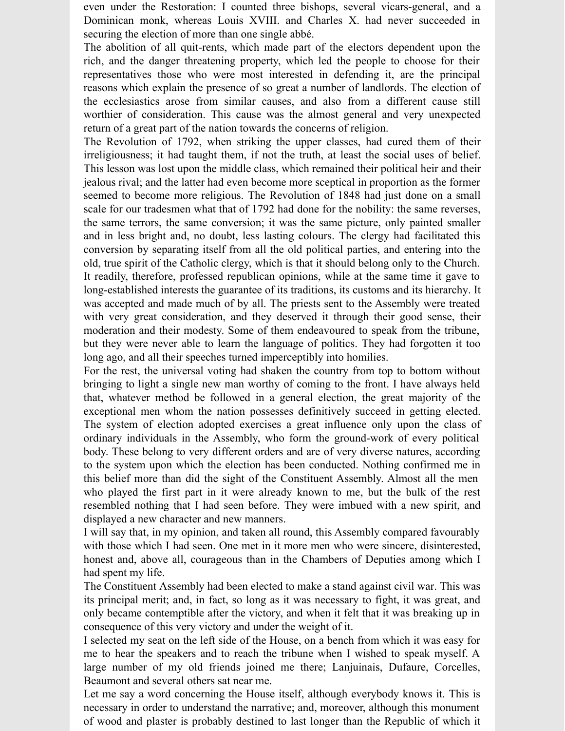even under the Restoration: I counted three bishops, several vicars-general, and a Dominican monk, whereas Louis XVIII. and Charles X. had never succeeded in securing the election of more than one single abbé.

The abolition of all quit-rents, which made part of the electors dependent upon the rich, and the danger threatening property, which led the people to choose for their representatives those who were most interested in defending it, are the principal reasons which explain the presence of so great a number of landlords. The election of the ecclesiastics arose from similar causes, and also from a different cause still worthier of consideration. This cause was the almost general and very unexpected return of a great part of the nation towards the concerns of religion.

The Revolution of 1792, when striking the upper classes, had cured them of their irreligiousness; it had taught them, if not the truth, at least the social uses of belief. This lesson was lost upon the middle class, which remained their political heir and their jealous rival; and the latter had even become more sceptical in proportion as the former seemed to become more religious. The Revolution of 1848 had just done on a small scale for our tradesmen what that of 1792 had done for the nobility: the same reverses, the same terrors, the same conversion; it was the same picture, only painted smaller and in less bright and, no doubt, less lasting colours. The clergy had facilitated this conversion by separating itself from all the old political parties, and entering into the old, true spirit of the Catholic clergy, which is that it should belong only to the Church. It readily, therefore, professed republican opinions, while at the same time it gave to long-established interests the guarantee of its traditions, its customs and its hierarchy. It was accepted and made much of by all. The priests sent to the Assembly were treated with very great consideration, and they deserved it through their good sense, their moderation and their modesty. Some of them endeavoured to speak from the tribune, but they were never able to learn the language of politics. They had forgotten it too long ago, and all their speeches turned imperceptibly into homilies.

For the rest, the universal voting had shaken the country from top to bottom without bringing to light a single new man worthy of coming to the front. I have always held that, whatever method be followed in a general election, the great majority of the exceptional men whom the nation possesses definitively succeed in getting elected. The system of election adopted exercises a great influence only upon the class of ordinary individuals in the Assembly, who form the ground-work of every political body. These belong to very different orders and are of very diverse natures, according to the system upon which the election has been conducted. Nothing confirmed me in this belief more than did the sight of the Constituent Assembly. Almost all the men who played the first part in it were already known to me, but the bulk of the rest resembled nothing that I had seen before. They were imbued with a new spirit, and displayed a new character and new manners.

I will say that, in my opinion, and taken all round, this Assembly compared favourably with those which I had seen. One met in it more men who were sincere, disinterested, honest and, above all, courageous than in the Chambers of Deputies among which I had spent my life.

The Constituent Assembly had been elected to make a stand against civil war. This was its principal merit; and, in fact, so long as it was necessary to fight, it was great, and only became contemptible after the victory, and when it felt that it was breaking up in consequence of this very victory and under the weight of it.

I selected my seat on the left side of the House, on a bench from which it was easy for me to hear the speakers and to reach the tribune when I wished to speak myself. A large number of my old friends joined me there; Lanjuinais, Dufaure, Corcelles, Beaumont and several others sat near me.

Let me say a word concerning the House itself, although everybody knows it. This is necessary in order to understand the narrative; and, moreover, although this monument of wood and plaster is probably destined to last longer than the Republic of which it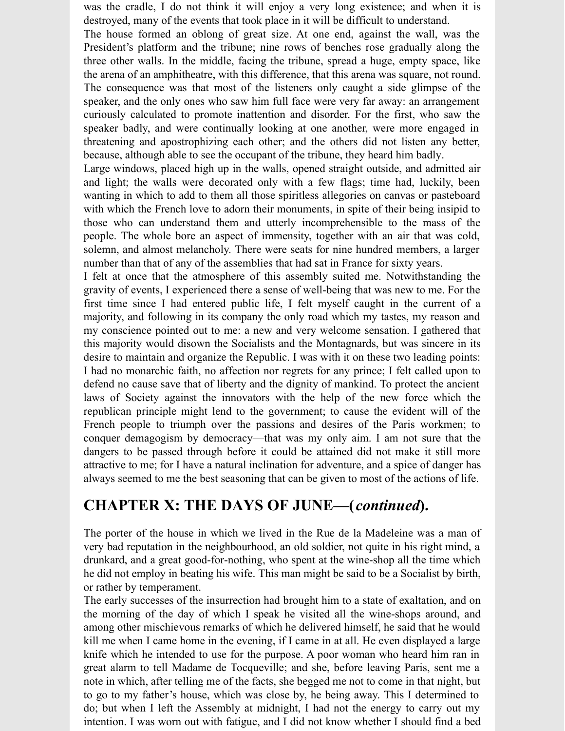was the cradle, I do not think it will enjoy a very long existence; and when it is destroyed, many of the events that took place in it will be difficult to understand.

The house formed an oblong of great size. At one end, against the wall, was the President's platform and the tribune; nine rows of benches rose gradually along the three other walls. In the middle, facing the tribune, spread a huge, empty space, like the arena of an amphitheatre, with this difference, that this arena was square, not round. The consequence was that most of the listeners only caught a side glimpse of the speaker, and the only ones who saw him full face were very far away: an arrangement curiously calculated to promote inattention and disorder. For the first, who saw the speaker badly, and were continually looking at one another, were more engaged in threatening and apostrophizing each other; and the others did not listen any better, because, although able to see the occupant of the tribune, they heard him badly.

Large windows, placed high up in the walls, opened straight outside, and admitted air and light; the walls were decorated only with a few flags; time had, luckily, been wanting in which to add to them all those spiritless allegories on canvas or pasteboard with which the French love to adorn their monuments, in spite of their being insipid to those who can understand them and utterly incomprehensible to the mass of the people. The whole bore an aspect of immensity, together with an air that was cold, solemn, and almost melancholy. There were seats for nine hundred members, a larger number than that of any of the assemblies that had sat in France for sixty years.

I felt at once that the atmosphere of this assembly suited me. Notwithstanding the gravity of events, I experienced there a sense of well-being that was new to me. For the first time since I had entered public life, I felt myself caught in the current of a majority, and following in its company the only road which my tastes, my reason and my conscience pointed out to me: a new and very welcome sensation. I gathered that this majority would disown the Socialists and the Montagnards, but was sincere in its desire to maintain and organize the Republic. I was with it on these two leading points: I had no monarchic faith, no affection nor regrets for any prince; I felt called upon to defend no cause save that of liberty and the dignity of mankind. To protect the ancient laws of Society against the innovators with the help of the new force which the republican principle might lend to the government; to cause the evident will of the French people to triumph over the passions and desires of the Paris workmen; to conquer demagogism by democracy—that was my only aim. I am not sure that the dangers to be passed through before it could be attained did not make it still more attractive to me; for I have a natural inclination for adventure, and a spice of danger has always seemed to me the best seasoning that can be given to most of the actions of life.

### **CHAPTER X: THE DAYS OF JUNE—(***continued***).**

The porter of the house in which we lived in the Rue de la Madeleine was a man of very bad reputation in the neighbourhood, an old soldier, not quite in his right mind, a drunkard, and a great good-for-nothing, who spent at the wine-shop all the time which he did not employ in beating his wife. This man might be said to be a Socialist by birth, or rather by temperament.

The early successes of the insurrection had brought him to a state of exaltation, and on the morning of the day of which I speak he visited all the wine-shops around, and among other mischievous remarks of which he delivered himself, he said that he would kill me when I came home in the evening, if I came in at all. He even displayed a large knife which he intended to use for the purpose. A poor woman who heard him ran in great alarm to tell Madame de Tocqueville; and she, before leaving Paris, sent me a note in which, after telling me of the facts, she begged me not to come in that night, but to go to my father's house, which was close by, he being away. This I determined to do; but when I left the Assembly at midnight, I had not the energy to carry out my intention. I was worn out with fatigue, and I did not know whether I should find a bed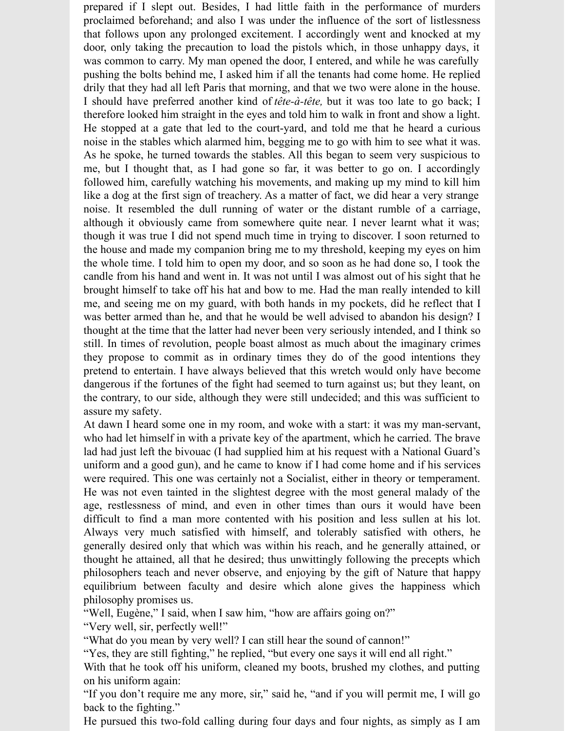prepared if I slept out. Besides, I had little faith in the performance of murders proclaimed beforehand; and also I was under the influence of the sort of listlessness that follows upon any prolonged excitement. I accordingly went and knocked at my door, only taking the precaution to load the pistols which, in those unhappy days, it was common to carry. My man opened the door, I entered, and while he was carefully pushing the bolts behind me, I asked him if all the tenants had come home. He replied drily that they had all left Paris that morning, and that we two were alone in the house. I should have preferred another kind of *tête-à-tête,* but it was too late to go back; I therefore looked him straight in the eyes and told him to walk in front and show a light. He stopped at a gate that led to the court-yard, and told me that he heard a curious noise in the stables which alarmed him, begging me to go with him to see what it was. As he spoke, he turned towards the stables. All this began to seem very suspicious to me, but I thought that, as I had gone so far, it was better to go on. I accordingly followed him, carefully watching his movements, and making up my mind to kill him like a dog at the first sign of treachery. As a matter of fact, we did hear a very strange noise. It resembled the dull running of water or the distant rumble of a carriage, although it obviously came from somewhere quite near. I never learnt what it was; though it was true I did not spend much time in trying to discover. I soon returned to the house and made my companion bring me to my threshold, keeping my eyes on him the whole time. I told him to open my door, and so soon as he had done so, I took the candle from his hand and went in. It was not until I was almost out of his sight that he brought himself to take off his hat and bow to me. Had the man really intended to kill me, and seeing me on my guard, with both hands in my pockets, did he reflect that I was better armed than he, and that he would be well advised to abandon his design? I thought at the time that the latter had never been very seriously intended, and I think so still. In times of revolution, people boast almost as much about the imaginary crimes they propose to commit as in ordinary times they do of the good intentions they pretend to entertain. I have always believed that this wretch would only have become dangerous if the fortunes of the fight had seemed to turn against us; but they leant, on the contrary, to our side, although they were still undecided; and this was sufficient to assure my safety.

At dawn I heard some one in my room, and woke with a start: it was my man-servant, who had let himself in with a private key of the apartment, which he carried. The brave lad had just left the bivouac (I had supplied him at his request with a National Guard's uniform and a good gun), and he came to know if I had come home and if his services were required. This one was certainly not a Socialist, either in theory or temperament. He was not even tainted in the slightest degree with the most general malady of the age, restlessness of mind, and even in other times than ours it would have been difficult to find a man more contented with his position and less sullen at his lot. Always very much satisfied with himself, and tolerably satisfied with others, he generally desired only that which was within his reach, and he generally attained, or thought he attained, all that he desired; thus unwittingly following the precepts which philosophers teach and never observe, and enjoying by the gift of Nature that happy equilibrium between faculty and desire which alone gives the happiness which philosophy promises us.

"Well, Eugène," I said, when I saw him, "how are affairs going on?"

"Very well, sir, perfectly well!"

"What do you mean by very well? I can still hear the sound of cannon!"

"Yes, they are still fighting," he replied, "but every one says it will end all right."

With that he took off his uniform, cleaned my boots, brushed my clothes, and putting on his uniform again:

"If you don't require me any more, sir," said he, "and if you will permit me, I will go back to the fighting."

He pursued this two-fold calling during four days and four nights, as simply as I am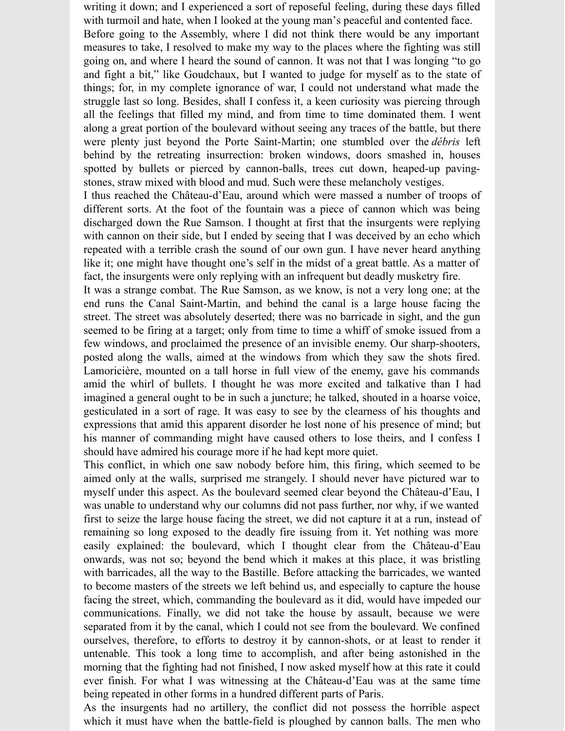writing it down; and I experienced a sort of reposeful feeling, during these days filled with turmoil and hate, when I looked at the young man's peaceful and contented face. Before going to the Assembly, where I did not think there would be any important measures to take, I resolved to make my way to the places where the fighting was still going on, and where I heard the sound of cannon. It was not that I was longing "to go and fight a bit," like Goudchaux, but I wanted to judge for myself as to the state of things; for, in my complete ignorance of war, I could not understand what made the struggle last so long. Besides, shall I confess it, a keen curiosity was piercing through all the feelings that filled my mind, and from time to time dominated them. I went along a great portion of the boulevard without seeing any traces of the battle, but there were plenty just beyond the Porte Saint-Martin; one stumbled over the *débris* left behind by the retreating insurrection: broken windows, doors smashed in, houses spotted by bullets or pierced by cannon-balls, trees cut down, heaped-up pavingstones, straw mixed with blood and mud. Such were these melancholy vestiges.

I thus reached the Château-d'Eau, around which were massed a number of troops of different sorts. At the foot of the fountain was a piece of cannon which was being discharged down the Rue Samson. I thought at first that the insurgents were replying with cannon on their side, but I ended by seeing that I was deceived by an echo which repeated with a terrible crash the sound of our own gun. I have never heard anything like it; one might have thought one's self in the midst of a great battle. As a matter of fact, the insurgents were only replying with an infrequent but deadly musketry fire.

It was a strange combat. The Rue Samson, as we know, is not a very long one; at the end runs the Canal Saint-Martin, and behind the canal is a large house facing the street. The street was absolutely deserted; there was no barricade in sight, and the gun seemed to be firing at a target; only from time to time a whiff of smoke issued from a few windows, and proclaimed the presence of an invisible enemy. Our sharp-shooters, posted along the walls, aimed at the windows from which they saw the shots fired. Lamoricière, mounted on a tall horse in full view of the enemy, gave his commands amid the whirl of bullets. I thought he was more excited and talkative than I had imagined a general ought to be in such a juncture; he talked, shouted in a hoarse voice, gesticulated in a sort of rage. It was easy to see by the clearness of his thoughts and expressions that amid this apparent disorder he lost none of his presence of mind; but his manner of commanding might have caused others to lose theirs, and I confess I should have admired his courage more if he had kept more quiet.

This conflict, in which one saw nobody before him, this firing, which seemed to be aimed only at the walls, surprised me strangely. I should never have pictured war to myself under this aspect. As the boulevard seemed clear beyond the Château-d'Eau, I was unable to understand why our columns did not pass further, nor why, if we wanted first to seize the large house facing the street, we did not capture it at a run, instead of remaining so long exposed to the deadly fire issuing from it. Yet nothing was more easily explained: the boulevard, which I thought clear from the Château-d'Eau onwards, was not so; beyond the bend which it makes at this place, it was bristling with barricades, all the way to the Bastille. Before attacking the barricades, we wanted to become masters of the streets we left behind us, and especially to capture the house facing the street, which, commanding the boulevard as it did, would have impeded our communications. Finally, we did not take the house by assault, because we were separated from it by the canal, which I could not see from the boulevard. We confined ourselves, therefore, to efforts to destroy it by cannon-shots, or at least to render it untenable. This took a long time to accomplish, and after being astonished in the morning that the fighting had not finished, I now asked myself how at this rate it could ever finish. For what I was witnessing at the Château-d'Eau was at the same time being repeated in other forms in a hundred different parts of Paris.

As the insurgents had no artillery, the conflict did not possess the horrible aspect which it must have when the battle-field is ploughed by cannon balls. The men who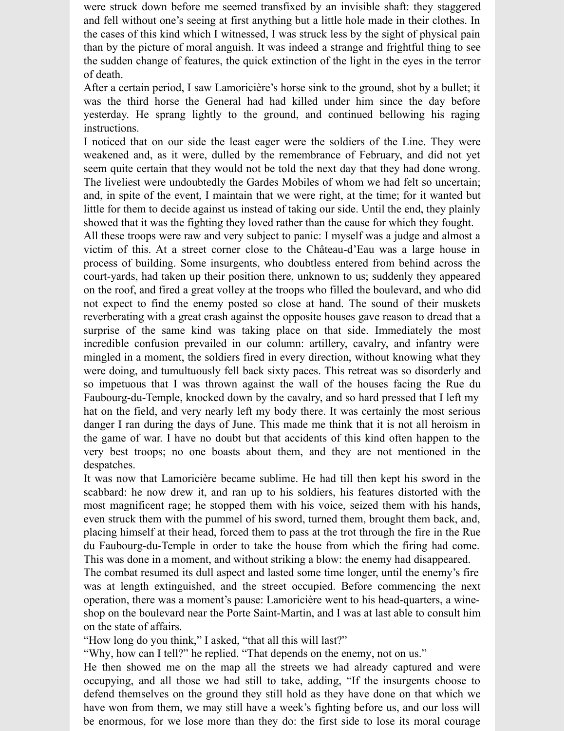were struck down before me seemed transfixed by an invisible shaft: they staggered and fell without one's seeing at first anything but a little hole made in their clothes. In the cases of this kind which I witnessed, I was struck less by the sight of physical pain than by the picture of moral anguish. It was indeed a strange and frightful thing to see the sudden change of features, the quick extinction of the light in the eyes in the terror of death.

After a certain period, I saw Lamoricière's horse sink to the ground, shot by a bullet; it was the third horse the General had had killed under him since the day before yesterday. He sprang lightly to the ground, and continued bellowing his raging instructions.

I noticed that on our side the least eager were the soldiers of the Line. They were weakened and, as it were, dulled by the remembrance of February, and did not yet seem quite certain that they would not be told the next day that they had done wrong. The liveliest were undoubtedly the Gardes Mobiles of whom we had felt so uncertain; and, in spite of the event, I maintain that we were right, at the time; for it wanted but little for them to decide against us instead of taking our side. Until the end, they plainly showed that it was the fighting they loved rather than the cause for which they fought.

All these troops were raw and very subject to panic: I myself was a judge and almost a victim of this. At a street corner close to the Château-d'Eau was a large house in process of building. Some insurgents, who doubtless entered from behind across the court-yards, had taken up their position there, unknown to us; suddenly they appeared on the roof, and fired a great volley at the troops who filled the boulevard, and who did not expect to find the enemy posted so close at hand. The sound of their muskets reverberating with a great crash against the opposite houses gave reason to dread that a surprise of the same kind was taking place on that side. Immediately the most incredible confusion prevailed in our column: artillery, cavalry, and infantry were mingled in a moment, the soldiers fired in every direction, without knowing what they were doing, and tumultuously fell back sixty paces. This retreat was so disorderly and so impetuous that I was thrown against the wall of the houses facing the Rue du Faubourg-du-Temple, knocked down by the cavalry, and so hard pressed that I left my hat on the field, and very nearly left my body there. It was certainly the most serious danger I ran during the days of June. This made me think that it is not all heroism in the game of war. I have no doubt but that accidents of this kind often happen to the very best troops; no one boasts about them, and they are not mentioned in the despatches.

It was now that Lamoricière became sublime. He had till then kept his sword in the scabbard: he now drew it, and ran up to his soldiers, his features distorted with the most magnificent rage; he stopped them with his voice, seized them with his hands, even struck them with the pummel of his sword, turned them, brought them back, and, placing himself at their head, forced them to pass at the trot through the fire in the Rue du Faubourg-du-Temple in order to take the house from which the firing had come. This was done in a moment, and without striking a blow: the enemy had disappeared.

The combat resumed its dull aspect and lasted some time longer, until the enemy's fire was at length extinguished, and the street occupied. Before commencing the next operation, there was a moment's pause: Lamoricière went to his head-quarters, a wineshop on the boulevard near the Porte Saint-Martin, and I was at last able to consult him on the state of affairs.

"How long do you think," I asked, "that all this will last?"

"Why, how can I tell?" he replied. "That depends on the enemy, not on us."

He then showed me on the map all the streets we had already captured and were occupying, and all those we had still to take, adding, "If the insurgents choose to defend themselves on the ground they still hold as they have done on that which we have won from them, we may still have a week's fighting before us, and our loss will be enormous, for we lose more than they do: the first side to lose its moral courage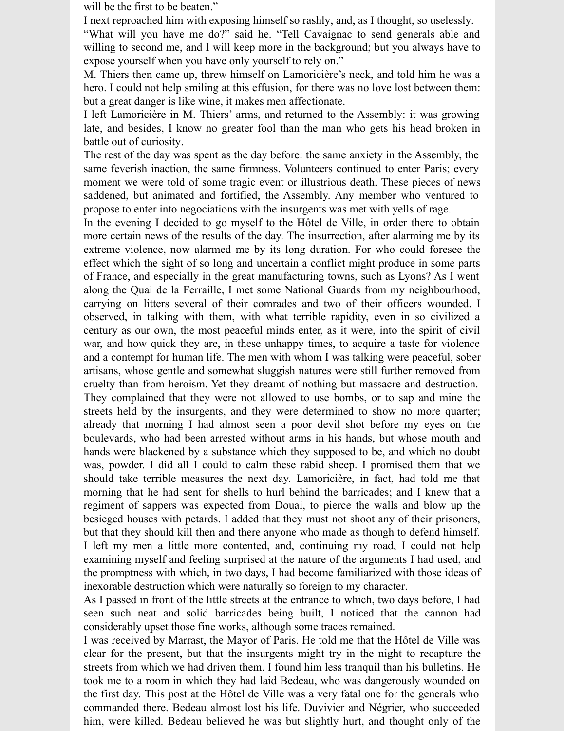will be the first to be beaten."

I next reproached him with exposing himself so rashly, and, as I thought, so uselessly.

"What will you have me do?" said he. "Tell Cavaignac to send generals able and willing to second me, and I will keep more in the background; but you always have to expose yourself when you have only yourself to rely on."

M. Thiers then came up, threw himself on Lamoricière's neck, and told him he was a hero. I could not help smiling at this effusion, for there was no love lost between them: but a great danger is like wine, it makes men affectionate.

I left Lamoricière in M. Thiers' arms, and returned to the Assembly: it was growing late, and besides, I know no greater fool than the man who gets his head broken in battle out of curiosity.

The rest of the day was spent as the day before: the same anxiety in the Assembly, the same feverish inaction, the same firmness. Volunteers continued to enter Paris; every moment we were told of some tragic event or illustrious death. These pieces of news saddened, but animated and fortified, the Assembly. Any member who ventured to propose to enter into negociations with the insurgents was met with yells of rage.

In the evening I decided to go myself to the Hôtel de Ville, in order there to obtain more certain news of the results of the day. The insurrection, after alarming me by its extreme violence, now alarmed me by its long duration. For who could foresee the effect which the sight of so long and uncertain a conflict might produce in some parts of France, and especially in the great manufacturing towns, such as Lyons? As I went along the Quai de la Ferraille, I met some National Guards from my neighbourhood, carrying on litters several of their comrades and two of their officers wounded. I observed, in talking with them, with what terrible rapidity, even in so civilized a century as our own, the most peaceful minds enter, as it were, into the spirit of civil war, and how quick they are, in these unhappy times, to acquire a taste for violence and a contempt for human life. The men with whom I was talking were peaceful, sober artisans, whose gentle and somewhat sluggish natures were still further removed from cruelty than from heroism. Yet they dreamt of nothing but massacre and destruction.

They complained that they were not allowed to use bombs, or to sap and mine the streets held by the insurgents, and they were determined to show no more quarter; already that morning I had almost seen a poor devil shot before my eyes on the boulevards, who had been arrested without arms in his hands, but whose mouth and hands were blackened by a substance which they supposed to be, and which no doubt was, powder. I did all I could to calm these rabid sheep. I promised them that we should take terrible measures the next day. Lamoricière, in fact, had told me that morning that he had sent for shells to hurl behind the barricades; and I knew that a regiment of sappers was expected from Douai, to pierce the walls and blow up the besieged houses with petards. I added that they must not shoot any of their prisoners, but that they should kill then and there anyone who made as though to defend himself. I left my men a little more contented, and, continuing my road, I could not help examining myself and feeling surprised at the nature of the arguments I had used, and the promptness with which, in two days, I had become familiarized with those ideas of inexorable destruction which were naturally so foreign to my character.

As I passed in front of the little streets at the entrance to which, two days before, I had seen such neat and solid barricades being built, I noticed that the cannon had considerably upset those fine works, although some traces remained.

I was received by Marrast, the Mayor of Paris. He told me that the Hôtel de Ville was clear for the present, but that the insurgents might try in the night to recapture the streets from which we had driven them. I found him less tranquil than his bulletins. He took me to a room in which they had laid Bedeau, who was dangerously wounded on the first day. This post at the Hôtel de Ville was a very fatal one for the generals who commanded there. Bedeau almost lost his life. Duvivier and Négrier, who succeeded him, were killed. Bedeau believed he was but slightly hurt, and thought only of the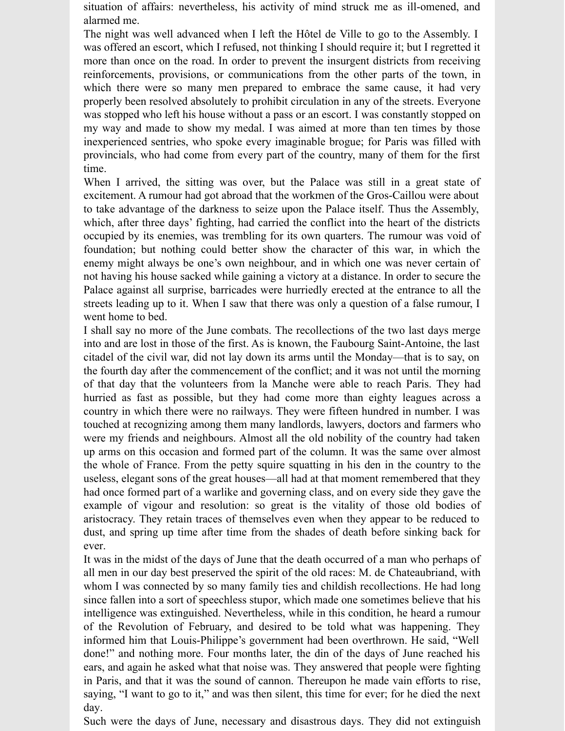situation of affairs: nevertheless, his activity of mind struck me as ill-omened, and alarmed me.

The night was well advanced when I left the Hôtel de Ville to go to the Assembly. I was offered an escort, which I refused, not thinking I should require it; but I regretted it more than once on the road. In order to prevent the insurgent districts from receiving reinforcements, provisions, or communications from the other parts of the town, in which there were so many men prepared to embrace the same cause, it had very properly been resolved absolutely to prohibit circulation in any of the streets. Everyone was stopped who left his house without a pass or an escort. I was constantly stopped on my way and made to show my medal. I was aimed at more than ten times by those inexperienced sentries, who spoke every imaginable brogue; for Paris was filled with provincials, who had come from every part of the country, many of them for the first time.

When I arrived, the sitting was over, but the Palace was still in a great state of excitement. A rumour had got abroad that the workmen of the Gros-Caillou were about to take advantage of the darkness to seize upon the Palace itself. Thus the Assembly, which, after three days' fighting, had carried the conflict into the heart of the districts occupied by its enemies, was trembling for its own quarters. The rumour was void of foundation; but nothing could better show the character of this war, in which the enemy might always be one's own neighbour, and in which one was never certain of not having his house sacked while gaining a victory at a distance. In order to secure the Palace against all surprise, barricades were hurriedly erected at the entrance to all the streets leading up to it. When I saw that there was only a question of a false rumour, I went home to bed.

I shall say no more of the June combats. The recollections of the two last days merge into and are lost in those of the first. As is known, the Faubourg Saint-Antoine, the last citadel of the civil war, did not lay down its arms until the Monday—that is to say, on the fourth day after the commencement of the conflict; and it was not until the morning of that day that the volunteers from la Manche were able to reach Paris. They had hurried as fast as possible, but they had come more than eighty leagues across a country in which there were no railways. They were fifteen hundred in number. I was touched at recognizing among them many landlords, lawyers, doctors and farmers who were my friends and neighbours. Almost all the old nobility of the country had taken up arms on this occasion and formed part of the column. It was the same over almost the whole of France. From the petty squire squatting in his den in the country to the useless, elegant sons of the great houses—all had at that moment remembered that they had once formed part of a warlike and governing class, and on every side they gave the example of vigour and resolution: so great is the vitality of those old bodies of aristocracy. They retain traces of themselves even when they appear to be reduced to dust, and spring up time after time from the shades of death before sinking back for ever.

It was in the midst of the days of June that the death occurred of a man who perhaps of all men in our day best preserved the spirit of the old races: M. de Chateaubriand, with whom I was connected by so many family ties and childish recollections. He had long since fallen into a sort of speechless stupor, which made one sometimes believe that his intelligence was extinguished. Nevertheless, while in this condition, he heard a rumour of the Revolution of February, and desired to be told what was happening. They informed him that Louis-Philippe's government had been overthrown. He said, "Well done!" and nothing more. Four months later, the din of the days of June reached his ears, and again he asked what that noise was. They answered that people were fighting in Paris, and that it was the sound of cannon. Thereupon he made vain efforts to rise, saying, "I want to go to it," and was then silent, this time for ever; for he died the next day.

Such were the days of June, necessary and disastrous days. They did not extinguish